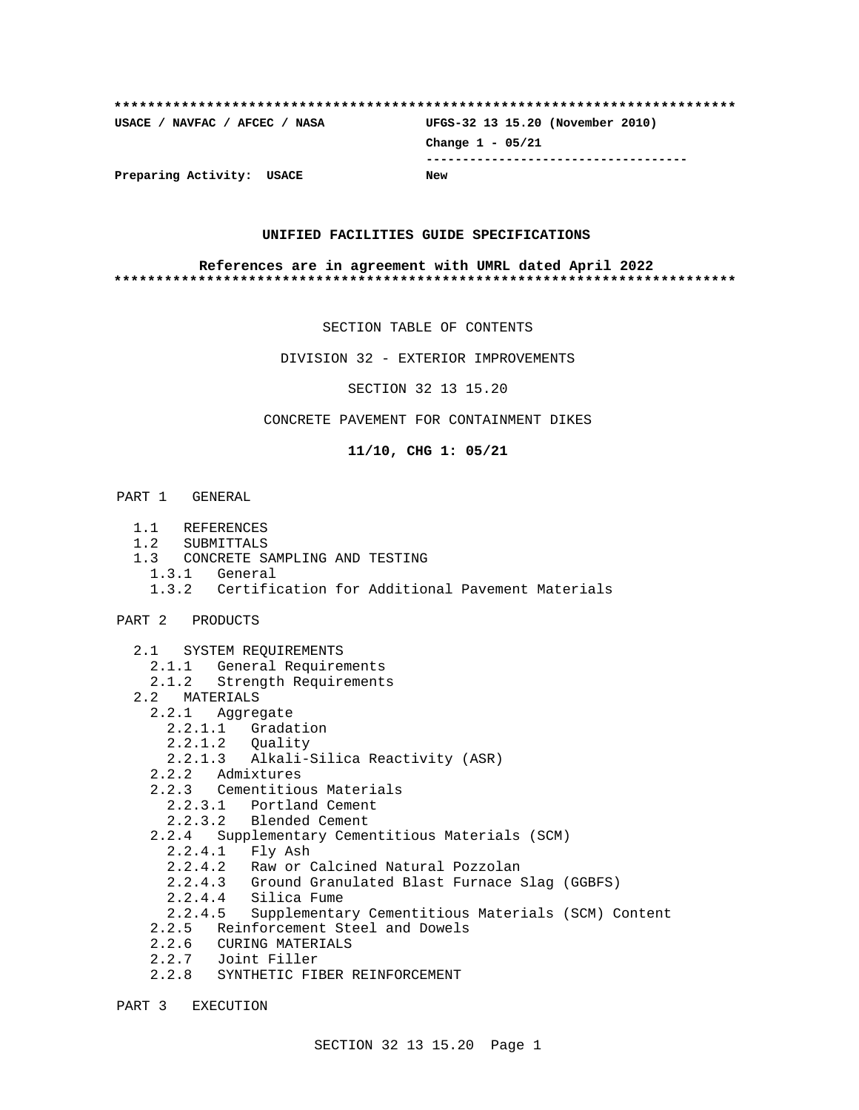# **\*\*\*\*\*\*\*\*\*\*\*\*\*\*\*\*\*\*\*\*\*\*\*\*\*\*\*\*\*\*\*\*\*\*\*\*\*\*\*\*\*\*\*\*\*\*\*\*\*\*\*\*\*\*\*\*\*\*\*\*\*\*\*\*\*\*\*\*\*\*\*\*\*\* USACE / NAVFAC / AFCEC / NASA UFGS-32 13 15.20 (November 2010) Change 1 - 05/21 ------------------------------------ Preparing Activity: USACE New**

#### **UNIFIED FACILITIES GUIDE SPECIFICATIONS**

#### **References are in agreement with UMRL dated April 2022 \*\*\*\*\*\*\*\*\*\*\*\*\*\*\*\*\*\*\*\*\*\*\*\*\*\*\*\*\*\*\*\*\*\*\*\*\*\*\*\*\*\*\*\*\*\*\*\*\*\*\*\*\*\*\*\*\*\*\*\*\*\*\*\*\*\*\*\*\*\*\*\*\*\***

SECTION TABLE OF CONTENTS

DIVISION 32 - EXTERIOR IMPROVEMENTS

SECTION 32 13 15.20

CONCRETE PAVEMENT FOR CONTAINMENT DIKES

**11/10, CHG 1: 05/21**

#### PART 1 GENERAL

- 1.1 REFERENCES
- 1.2 SUBMITTALS
- 1.3 CONCRETE SAMPLING AND TESTING
- 1.3.1 General
- 1.3.2 Certification for Additional Pavement Materials
- PART 2 PRODUCTS
	- 2.1 SYSTEM REQUIREMENTS
	- 2.1.1 General Requirements
	- 2.1.2 Strength Requirements
	- 2.2 MATERIALS
		- 2.2.1 Aggregate
			- 2.2.1.1 Gradation
			- 2.2.1.2 Quality
			- 2.2.1.3 Alkali-Silica Reactivity (ASR)
		- 2.2.2 Admixtures
		- 2.2.3 Cementitious Materials
			- 2.2.3.1 Portland Cement
			- 2.2.3.2 Blended Cement
		- 2.2.4 Supplementary Cementitious Materials (SCM)
			- 2.2.4.1 Fly Ash
			- 2.2.4.2 Raw or Calcined Natural Pozzolan
			- 2.2.4.3 Ground Granulated Blast Furnace Slag (GGBFS)
			- 2.2.4.4 Silica Fume
			- 2.2.4.5 Supplementary Cementitious Materials (SCM) Content
		- 2.2.5 Reinforcement Steel and Dowels
		- 2.2.6 CURING MATERIALS
		- 2.2.7 Joint Filler
		- 2.2.8 SYNTHETIC FIBER REINFORCEMENT

PART 3 EXECUTION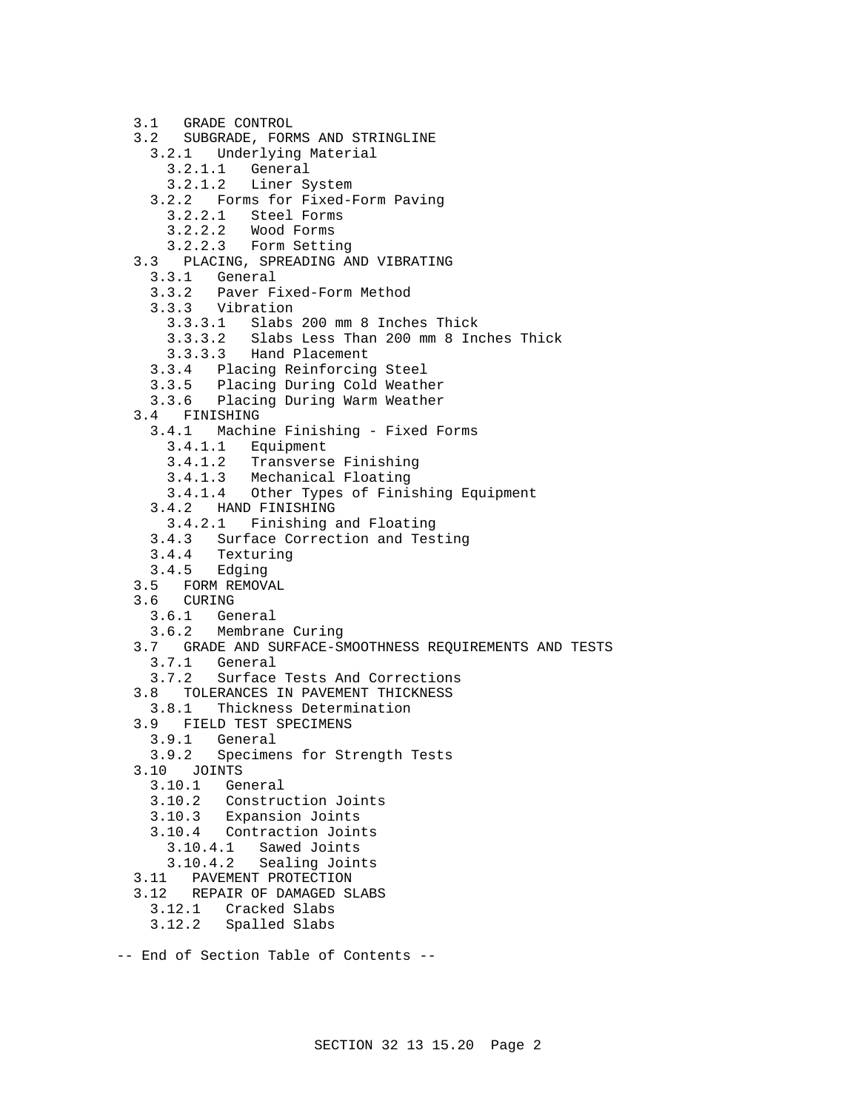```
 3.1 GRADE CONTROL
 3.2 SUBGRADE, FORMS AND STRINGLINE
   3.2.1 Underlying Material
     3.2.1.1 General
     3.2.1.2 Liner System
   3.2.2 Forms for Fixed-Form Paving
     3.2.2.1 Steel Forms
     3.2.2.2 Wood Forms
     3.2.2.3 Form Setting
 3.3 PLACING, SPREADING AND VIBRATING
   3.3.1 General
   3.3.2 Paver Fixed-Form Method
   3.3.3 Vibration
     3.3.3.1 Slabs 200 mm 8 Inches Thick
     3.3.3.2 Slabs Less Than 200 mm 8 Inches Thick
     3.3.3.3 Hand Placement
   3.3.4 Placing Reinforcing Steel
   3.3.5 Placing During Cold Weather
   3.3.6 Placing During Warm Weather
 3.4 FINISHING
   3.4.1 Machine Finishing - Fixed Forms
     3.4.1.1 Equipment
     3.4.1.2 Transverse Finishing
     3.4.1.3 Mechanical Floating
     3.4.1.4 Other Types of Finishing Equipment
   3.4.2 HAND FINISHING
     3.4.2.1 Finishing and Floating
   3.4.3 Surface Correction and Testing
3.4.4 Texturing
3.4.5 Edging
3.5 FORM REMOVAL<br>3.6 CURING
     CURING
   3.6.1 General
   3.6.2 Membrane Curing
 3.7 GRADE AND SURFACE-SMOOTHNESS REQUIREMENTS AND TESTS
   3.7.1 General
   3.7.2 Surface Tests And Corrections
 3.8 TOLERANCES IN PAVEMENT THICKNESS
   3.8.1 Thickness Determination
 3.9 FIELD TEST SPECIMENS
   3.9.1 General
 3.9.2 Specimens for Strength Tests
      3.10 JOINTS
   3.10.1 General
   3.10.2 Construction Joints
   3.10.3 Expansion Joints
   3.10.4 Contraction Joints
     3.10.4.1 Sawed Joints
     3.10.4.2 Sealing Joints
 3.11 PAVEMENT PROTECTION
 3.12 REPAIR OF DAMAGED SLABS
   3.12.1 Cracked Slabs
   3.12.2 Spalled Slabs
```

```
-- End of Section Table of Contents --
```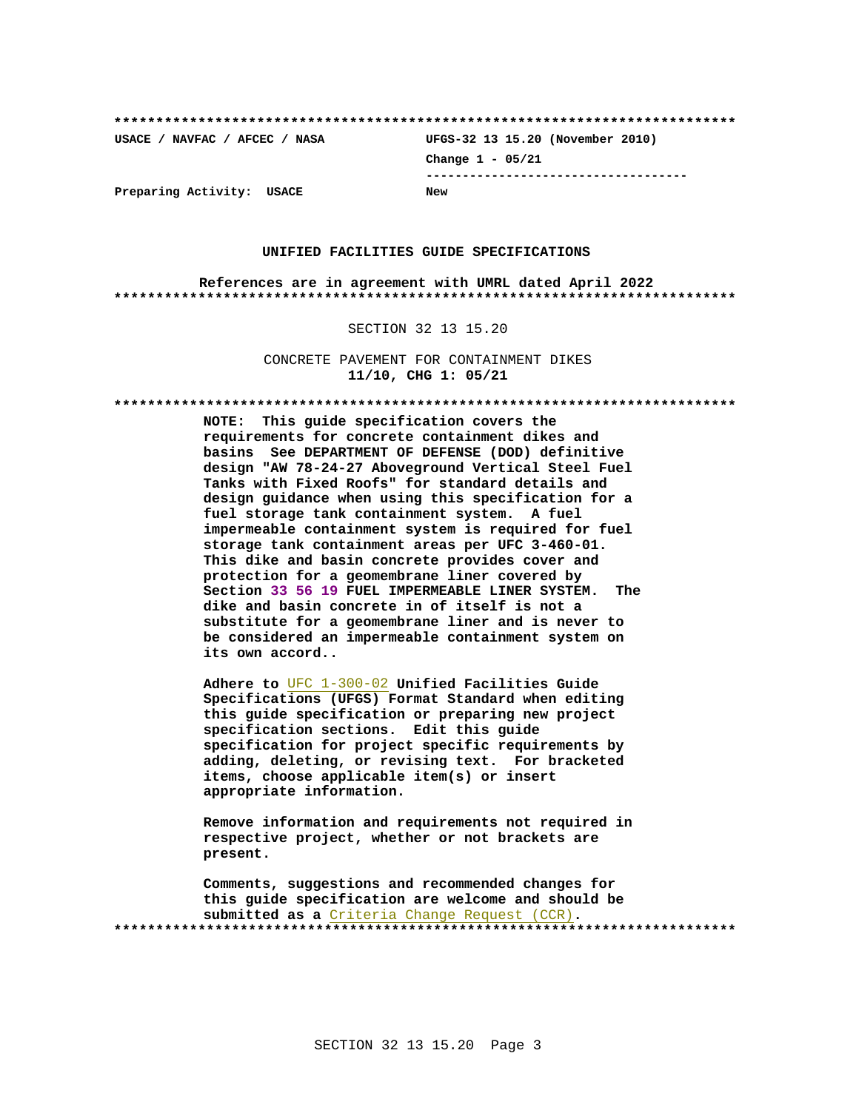**\*\*\*\*\*\*\*\*\*\*\*\*\*\*\*\*\*\*\*\*\*\*\*\*\*\*\*\*\*\*\*\*\*\*\*\*\*\*\*\*\*\*\*\*\*\*\*\*\*\*\*\*\*\*\*\*\*\*\*\*\*\*\*\*\*\*\*\*\*\*\*\*\*\* USACE / NAVFAC / AFCEC / NASA UFGS-32 13 15.20 (November 2010) Change 1 - 05/21 ------------------------------------ Preparing Activity: USACE New**

#### **UNIFIED FACILITIES GUIDE SPECIFICATIONS**

**References are in agreement with UMRL dated April 2022 \*\*\*\*\*\*\*\*\*\*\*\*\*\*\*\*\*\*\*\*\*\*\*\*\*\*\*\*\*\*\*\*\*\*\*\*\*\*\*\*\*\*\*\*\*\*\*\*\*\*\*\*\*\*\*\*\*\*\*\*\*\*\*\*\*\*\*\*\*\*\*\*\*\***

#### SECTION 32 13 15.20

CONCRETE PAVEMENT FOR CONTAINMENT DIKES **11/10, CHG 1: 05/21**

**\*\*\*\*\*\*\*\*\*\*\*\*\*\*\*\*\*\*\*\*\*\*\*\*\*\*\*\*\*\*\*\*\*\*\*\*\*\*\*\*\*\*\*\*\*\*\*\*\*\*\*\*\*\*\*\*\*\*\*\*\*\*\*\*\*\*\*\*\*\*\*\*\*\***

**NOTE: This guide specification covers the requirements for concrete containment dikes and basins See DEPARTMENT OF DEFENSE (DOD) definitive design "AW 78-24-27 Aboveground Vertical Steel Fuel Tanks with Fixed Roofs" for standard details and design guidance when using this specification for a fuel storage tank containment system. A fuel impermeable containment system is required for fuel storage tank containment areas per UFC 3-460-01. This dike and basin concrete provides cover and protection for a geomembrane liner covered by Section 33 56 19 FUEL IMPERMEABLE LINER SYSTEM. The dike and basin concrete in of itself is not a substitute for a geomembrane liner and is never to be considered an impermeable containment system on its own accord..**

**Adhere to** UFC 1-300-02 **Unified Facilities Guide Specifications (UFGS) Format Standard when editing this guide specification or preparing new project specification sections. Edit this guide specification for project specific requirements by adding, deleting, or revising text. For bracketed items, choose applicable item(s) or insert appropriate information.**

**Remove information and requirements not required in respective project, whether or not brackets are present.**

**Comments, suggestions and recommended changes for this guide specification are welcome and should be submitted as a** Criteria Change Request (CCR)**. \*\*\*\*\*\*\*\*\*\*\*\*\*\*\*\*\*\*\*\*\*\*\*\*\*\*\*\*\*\*\*\*\*\*\*\*\*\*\*\*\*\*\*\*\*\*\*\*\*\*\*\*\*\*\*\*\*\*\*\*\*\*\*\*\*\*\*\*\*\*\*\*\*\***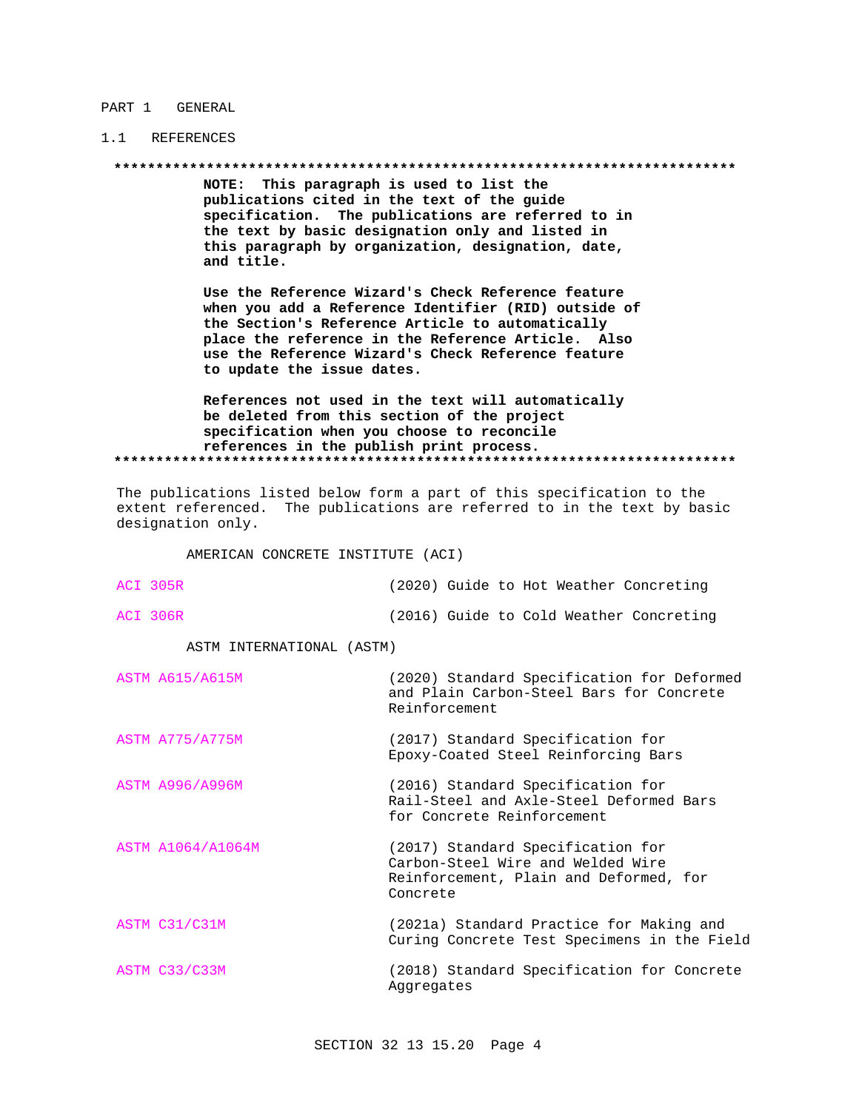#### PART 1 GENERAL

# 1.1 REFERENCES

NOTE: This paragraph is used to list the publications cited in the text of the guide specification. The publications are referred to in the text by basic designation only and listed in this paragraph by organization, designation, date, and title.

Use the Reference Wizard's Check Reference feature when you add a Reference Identifier (RID) outside of the Section's Reference Article to automatically place the reference in the Reference Article. Also use the Reference Wizard's Check Reference feature to update the issue dates.

References not used in the text will automatically be deleted from this section of the project specification when you choose to reconcile references in the publish print process. 

The publications listed below form a part of this specification to the extent referenced. The publications are referred to in the text by basic designation only.

AMERICAN CONCRETE INSTITUTE (ACI)

| ACI 305R                  | (2020) Guide to Hot Weather Concreting                                                                                       |  |
|---------------------------|------------------------------------------------------------------------------------------------------------------------------|--|
| <b>ACI 306R</b>           | (2016) Guide to Cold Weather Concreting                                                                                      |  |
| ASTM INTERNATIONAL (ASTM) |                                                                                                                              |  |
| <b>ASTM A615/A615M</b>    | (2020) Standard Specification for Deformed<br>and Plain Carbon-Steel Bars for Concrete<br>Reinforcement                      |  |
| <b>ASTM A775/A775M</b>    | (2017) Standard Specification for<br>Epoxy-Coated Steel Reinforcing Bars                                                     |  |
| <b>ASTM A996/A996M</b>    | (2016) Standard Specification for<br>Rail-Steel and Axle-Steel Deformed Bars<br>for Concrete Reinforcement                   |  |
| ASTM A1064/A1064M         | (2017) Standard Specification for<br>Carbon-Steel Wire and Welded Wire<br>Reinforcement, Plain and Deformed, for<br>Concrete |  |
| ASTM C31/C31M             | (2021a) Standard Practice for Making and<br>Curing Concrete Test Specimens in the Field                                      |  |
| ASTM C33/C33M             | (2018) Standard Specification for Concrete<br>Aggregates                                                                     |  |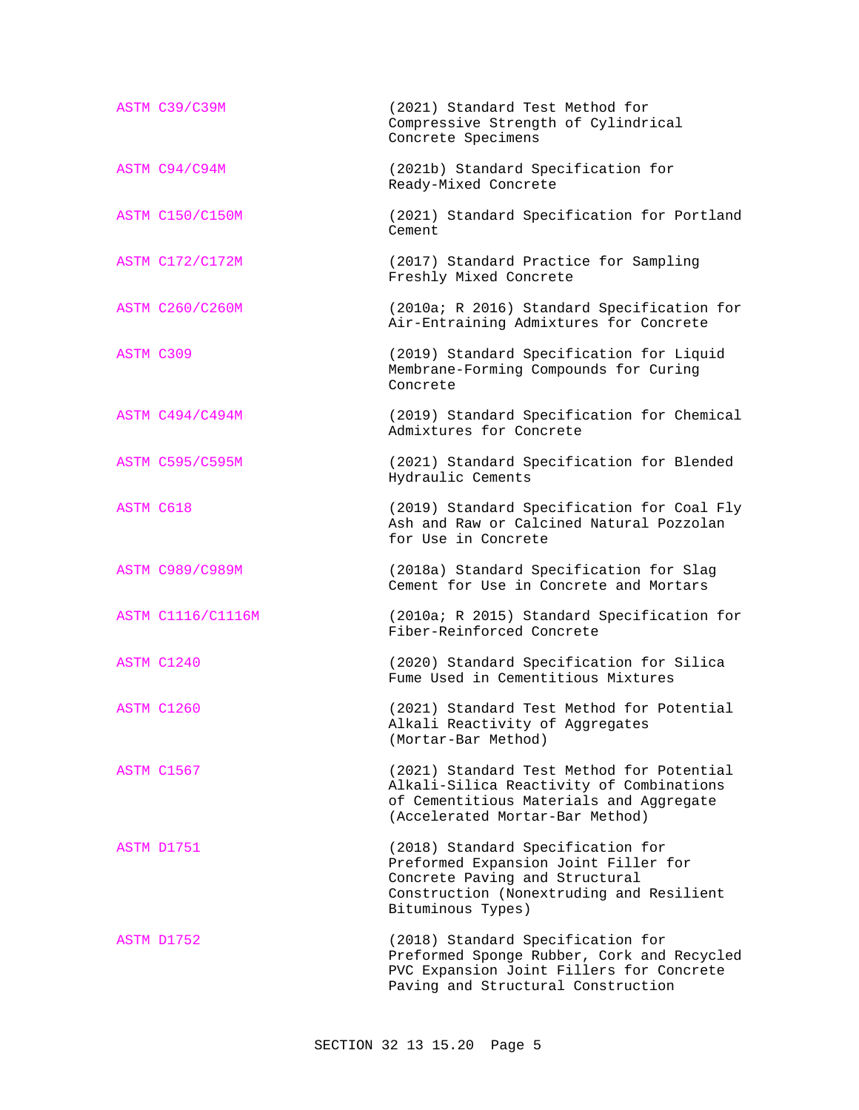|           | ASTM C39/C39M            | (2021) Standard Test Method for<br>Compressive Strength of Cylindrical<br>Concrete Specimens                                                                                 |  |
|-----------|--------------------------|------------------------------------------------------------------------------------------------------------------------------------------------------------------------------|--|
|           | ASTM C94/C94M            | (2021b) Standard Specification for<br>Ready-Mixed Concrete                                                                                                                   |  |
|           | <b>ASTM C150/C150M</b>   | (2021) Standard Specification for Portland<br>Cement                                                                                                                         |  |
|           | <b>ASTM C172/C172M</b>   | (2017) Standard Practice for Sampling<br>Freshly Mixed Concrete                                                                                                              |  |
|           | <b>ASTM C260/C260M</b>   | (2010a; R 2016) Standard Specification for<br>Air-Entraining Admixtures for Concrete                                                                                         |  |
| ASTM C309 |                          | (2019) Standard Specification for Liquid<br>Membrane-Forming Compounds for Curing<br>Concrete                                                                                |  |
|           | <b>ASTM C494/C494M</b>   | (2019) Standard Specification for Chemical<br>Admixtures for Concrete                                                                                                        |  |
|           | <b>ASTM C595/C595M</b>   | (2021) Standard Specification for Blended<br>Hydraulic Cements                                                                                                               |  |
| ASTM C618 |                          | (2019) Standard Specification for Coal Fly<br>Ash and Raw or Calcined Natural Pozzolan<br>for Use in Concrete                                                                |  |
|           | <b>ASTM C989/C989M</b>   | (2018a) Standard Specification for Slag<br>Cement for Use in Concrete and Mortars                                                                                            |  |
|           | <b>ASTM C1116/C1116M</b> | (2010a; R 2015) Standard Specification for<br>Fiber-Reinforced Concrete                                                                                                      |  |
|           | ASTM C1240               | (2020) Standard Specification for Silica<br>Fume Used in Cementitious Mixtures                                                                                               |  |
|           | ASTM C1260               | (2021) Standard Test Method for Potential<br>Alkali Reactivity of Aggregates<br>(Mortar-Bar Method)                                                                          |  |
|           | ASTM C1567               | (2021) Standard Test Method for Potential<br>Alkali-Silica Reactivity of Combinations<br>of Cementitious Materials and Aggregate<br>(Accelerated Mortar-Bar Method)          |  |
|           | ASTM D1751               | (2018) Standard Specification for<br>Preformed Expansion Joint Filler for<br>Concrete Paving and Structural<br>Construction (Nonextruding and Resilient<br>Bituminous Types) |  |
|           | ASTM D1752               | (2018) Standard Specification for<br>Preformed Sponge Rubber, Cork and Recycled<br>PVC Expansion Joint Fillers for Concrete<br>Paving and Structural Construction            |  |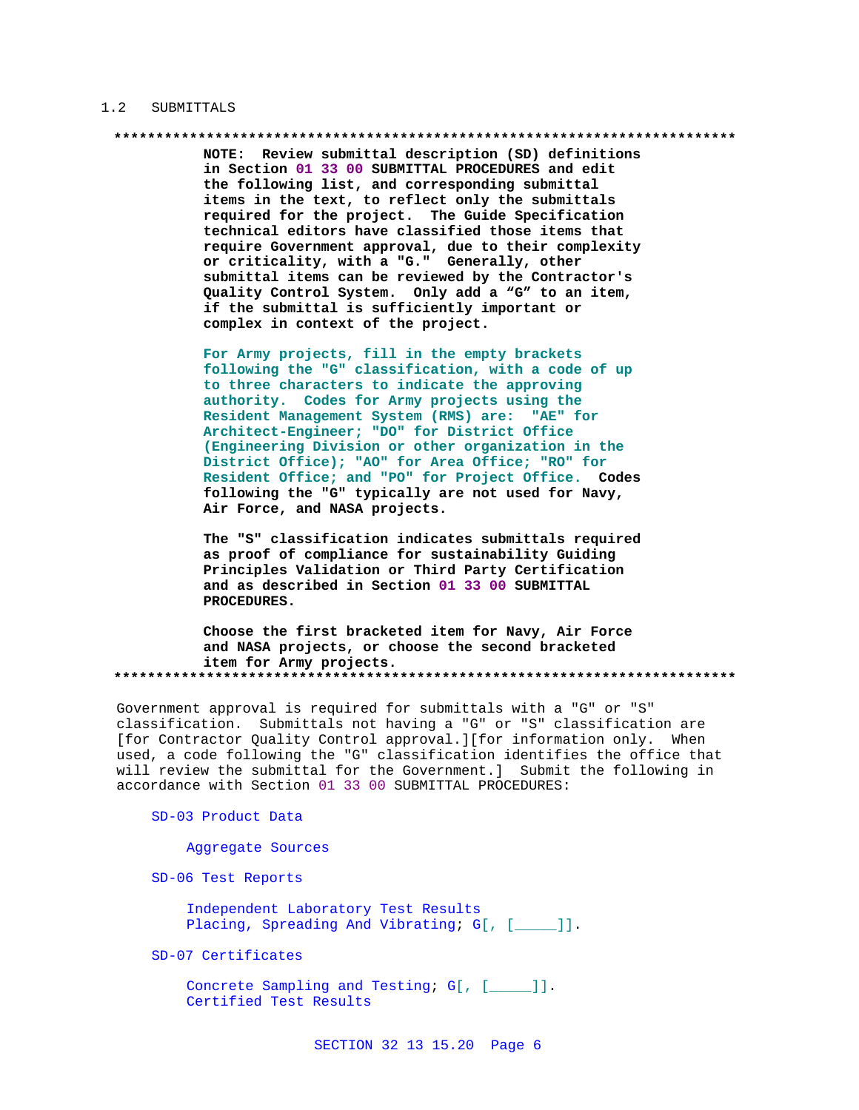#### 1.2 SUBMITTALS

NOTE: Review submittal description (SD) definitions in Section 01 33 00 SUBMITTAL PROCEDURES and edit the following list, and corresponding submittal items in the text, to reflect only the submittals required for the project. The Guide Specification technical editors have classified those items that require Government approval, due to their complexity or criticality, with a "G." Generally, other submittal items can be reviewed by the Contractor's Quality Control System. Only add a "G" to an item, if the submittal is sufficiently important or complex in context of the project.

For Army projects, fill in the empty brackets following the "G" classification, with a code of up to three characters to indicate the approving authority. Codes for Army projects using the Resident Management System (RMS) are: "AE" for Architect-Engineer; "DO" for District Office (Engineering Division or other organization in the District Office); "AO" for Area Office; "RO" for Resident Office; and "PO" for Project Office. Codes following the "G" typically are not used for Navy, Air Force, and NASA projects.

The "S" classification indicates submittals required as proof of compliance for sustainability Guiding Principles Validation or Third Party Certification and as described in Section 01 33 00 SUBMITTAL PROCEDURES.

Choose the first bracketed item for Navy, Air Force and NASA projects, or choose the second bracketed item for Army projects. 

Government approval is required for submittals with a "G" or "S" classification. Submittals not having a "G" or "S" classification are [for Contractor Quality Control approval.][for information only. When used, a code following the "G" classification identifies the office that will review the submittal for the Government.] Submit the following in accordance with Section 01 33 00 SUBMITTAL PROCEDURES:

#### SD-03 Product Data

Aggregate Sources

SD-06 Test Reports

Independent Laboratory Test Results Placing, Spreading And Vibrating; G[, [\_\_\_\_]].

SD-07 Certificates

Concrete Sampling and Testing; G[, [\_\_\_\_]]. Certified Test Results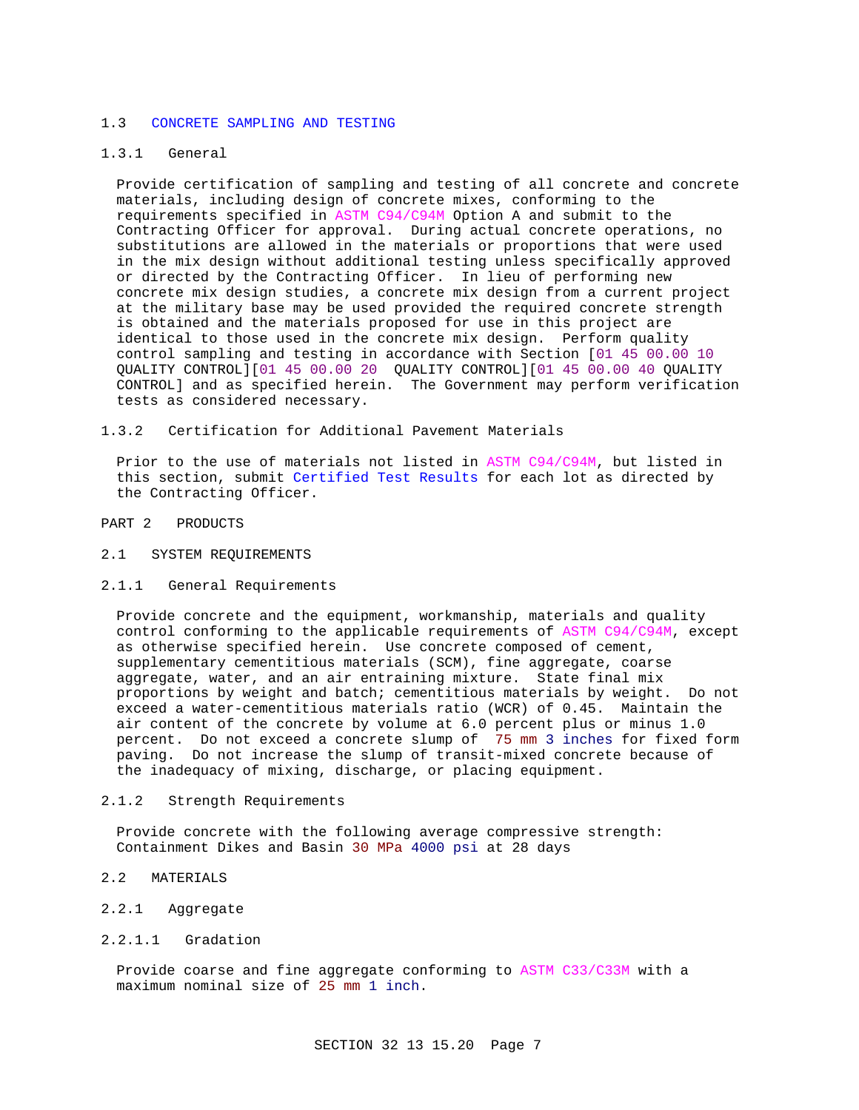#### 1.3 CONCRETE SAMPLING AND TESTING

#### 1.3.1 General

Provide certification of sampling and testing of all concrete and concrete materials, including design of concrete mixes, conforming to the requirements specified in ASTM C94/C94M Option A and submit to the Contracting Officer for approval. During actual concrete operations, no substitutions are allowed in the materials or proportions that were used in the mix design without additional testing unless specifically approved or directed by the Contracting Officer. In lieu of performing new concrete mix design studies, a concrete mix design from a current project at the military base may be used provided the required concrete strength is obtained and the materials proposed for use in this project are identical to those used in the concrete mix design. Perform quality control sampling and testing in accordance with Section [01 45 00.00 10 QUALITY CONTROL][01 45 00.00 20 QUALITY CONTROL][01 45 00.00 40 QUALITY CONTROL] and as specified herein. The Government may perform verification tests as considered necessary.

1.3.2 Certification for Additional Pavement Materials

Prior to the use of materials not listed in ASTM C94/C94M, but listed in this section, submit Certified Test Results for each lot as directed by the Contracting Officer.

PART 2 PRODUCTS

- 2.1 SYSTEM REQUIREMENTS
- 2.1.1 General Requirements

Provide concrete and the equipment, workmanship, materials and quality control conforming to the applicable requirements of ASTM C94/C94M, except as otherwise specified herein. Use concrete composed of cement, supplementary cementitious materials (SCM), fine aggregate, coarse aggregate, water, and an air entraining mixture. State final mix proportions by weight and batch; cementitious materials by weight. Do not exceed a water-cementitious materials ratio (WCR) of 0.45. Maintain the air content of the concrete by volume at 6.0 percent plus or minus 1.0 percent. Do not exceed a concrete slump of 75 mm 3 inches for fixed form paving. Do not increase the slump of transit-mixed concrete because of the inadequacy of mixing, discharge, or placing equipment.

2.1.2 Strength Requirements

Provide concrete with the following average compressive strength: Containment Dikes and Basin 30 MPa 4000 psi at 28 days

- 2.2 MATERIALS
- 2.2.1 Aggregate
- 2.2.1.1 Gradation

Provide coarse and fine aggregate conforming to ASTM C33/C33M with a maximum nominal size of 25 mm 1 inch.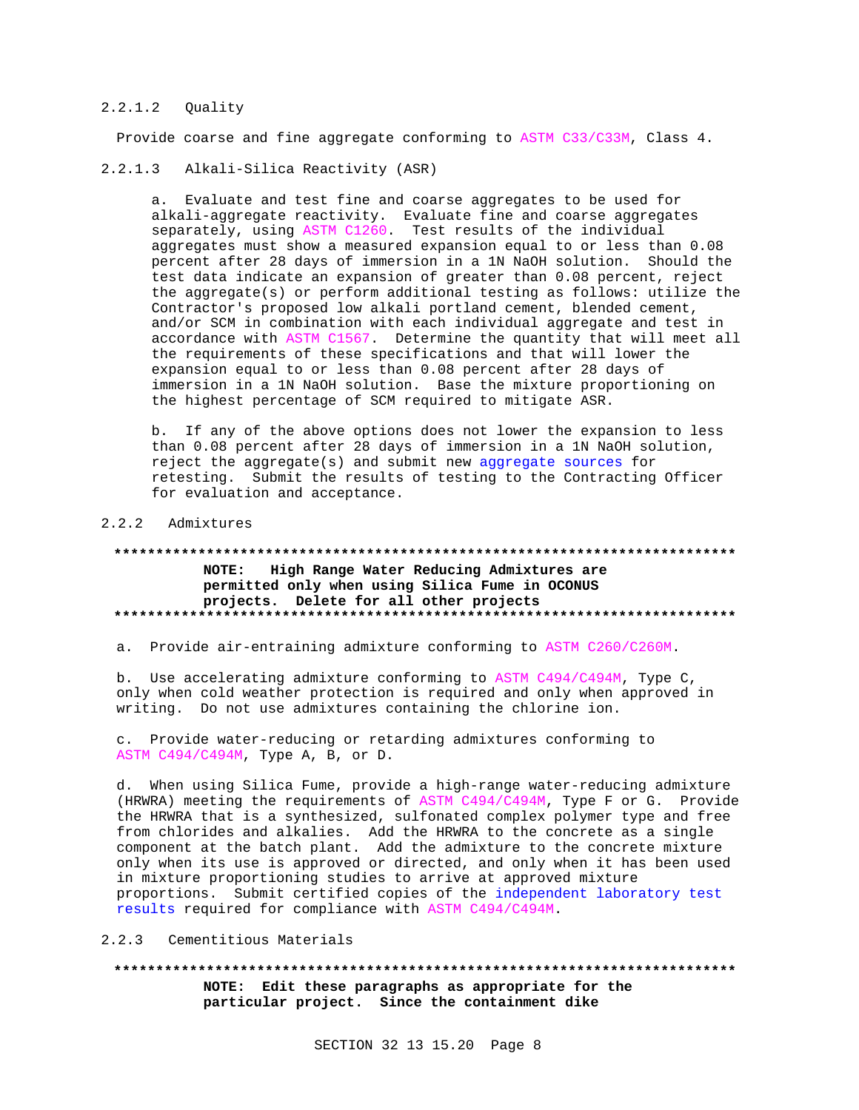#### $2.2.1.2$ Ouality

Provide coarse and fine aggregate conforming to ASTM C33/C33M, Class 4.

#### $2.2.1.3$ Alkali-Silica Reactivity (ASR)

a. Evaluate and test fine and coarse aggregates to be used for alkali-aggregate reactivity. Evaluate fine and coarse aggregates separately, using ASTM C1260. Test results of the individual aggregates must show a measured expansion equal to or less than 0.08 percent after 28 days of immersion in a 1N NaOH solution. Should the test data indicate an expansion of greater than 0.08 percent, reject the aggregate(s) or perform additional testing as follows: utilize the Contractor's proposed low alkali portland cement, blended cement, and/or SCM in combination with each individual aggregate and test in accordance with ASTM C1567. Determine the quantity that will meet all the requirements of these specifications and that will lower the expansion equal to or less than 0.08 percent after 28 days of immersion in a 1N NaOH solution. Base the mixture proportioning on the highest percentage of SCM required to mitigate ASR.

b. If any of the above options does not lower the expansion to less than 0.08 percent after 28 days of immersion in a 1N NaOH solution, reject the aggregate(s) and submit new aggregate sources for retesting. Submit the results of testing to the Contracting Officer for evaluation and acceptance.

#### 2.2.2 Admixtures

# NOTE: High Range Water Reducing Admixtures are permitted only when using Silica Fume in OCONUS projects. Delete for all other projects

a. Provide air-entraining admixture conforming to ASTM C260/C260M.

b. Use accelerating admixture conforming to ASTM C494/C494M, Type C, only when cold weather protection is required and only when approved in writing. Do not use admixtures containing the chlorine ion.

c. Provide water-reducing or retarding admixtures conforming to ASTM C494/C494M, Type A, B, or D.

d. When using Silica Fume, provide a high-range water-reducing admixture (HRWRA) meeting the requirements of ASTM C494/C494M, Type F or G. Provide the HRWRA that is a synthesized, sulfonated complex polymer type and free from chlorides and alkalies. Add the HRWRA to the concrete as a single component at the batch plant. Add the admixture to the concrete mixture only when its use is approved or directed, and only when it has been used in mixture proportioning studies to arrive at approved mixture proportions. Submit certified copies of the independent laboratory test results required for compliance with ASTM C494/C494M.

#### 2.2.3 Cementitious Materials

NOTE: Edit these paragraphs as appropriate for the particular project. Since the containment dike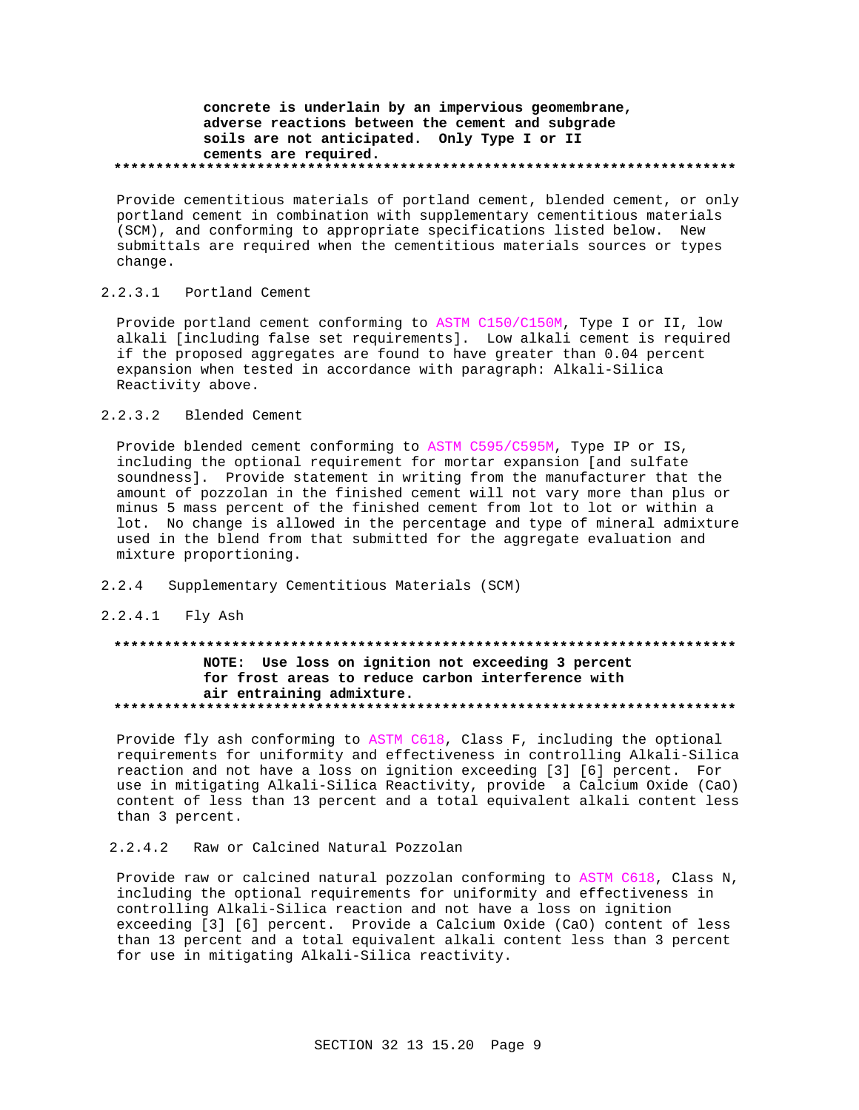# concrete is underlain by an impervious geomembrane, adverse reactions between the cement and subgrade soils are not anticipated. Only Type I or II cements are required.

Provide cementitious materials of portland cement, blended cement, or only portland cement in combination with supplementary cementitious materials (SCM), and conforming to appropriate specifications listed below. New submittals are required when the cementitious materials sources or types change.

#### $2.2.3.1$ Portland Cement

Provide portland cement conforming to ASTM C150/C150M, Type I or II, low alkali [including false set requirements]. Low alkali cement is required if the proposed aggregates are found to have greater than 0.04 percent expansion when tested in accordance with paragraph: Alkali-Silica Reactivity above.

#### $2.2.3.2$ Blended Cement

Provide blended cement conforming to ASTM C595/C595M, Type IP or IS, including the optional requirement for mortar expansion [and sulfate soundness]. Provide statement in writing from the manufacturer that the amount of pozzolan in the finished cement will not vary more than plus or minus 5 mass percent of the finished cement from lot to lot or within a lot. No change is allowed in the percentage and type of mineral admixture used in the blend from that submitted for the aggregate evaluation and mixture proportioning.

- $2.2.4$ Supplementary Cementitious Materials (SCM)
- 2.2.4.1 Fly Ash

# NOTE: Use loss on ignition not exceeding 3 percent for frost areas to reduce carbon interference with air entraining admixture.

Provide fly ash conforming to ASTM C618, Class F, including the optional requirements for uniformity and effectiveness in controlling Alkali-Silica reaction and not have a loss on ignition exceeding [3] [6] percent. For use in mitigating Alkali-Silica Reactivity, provide a Calcium Oxide (CaO) content of less than 13 percent and a total equivalent alkali content less than 3 percent.

 $2, 2, 4, 2$ Raw or Calcined Natural Pozzolan

Provide raw or calcined natural pozzolan conforming to ASTM C618, Class N, including the optional requirements for uniformity and effectiveness in controlling Alkali-Silica reaction and not have a loss on ignition exceeding [3] [6] percent. Provide a Calcium Oxide (CaO) content of less than 13 percent and a total equivalent alkali content less than 3 percent for use in mitigating Alkali-Silica reactivity.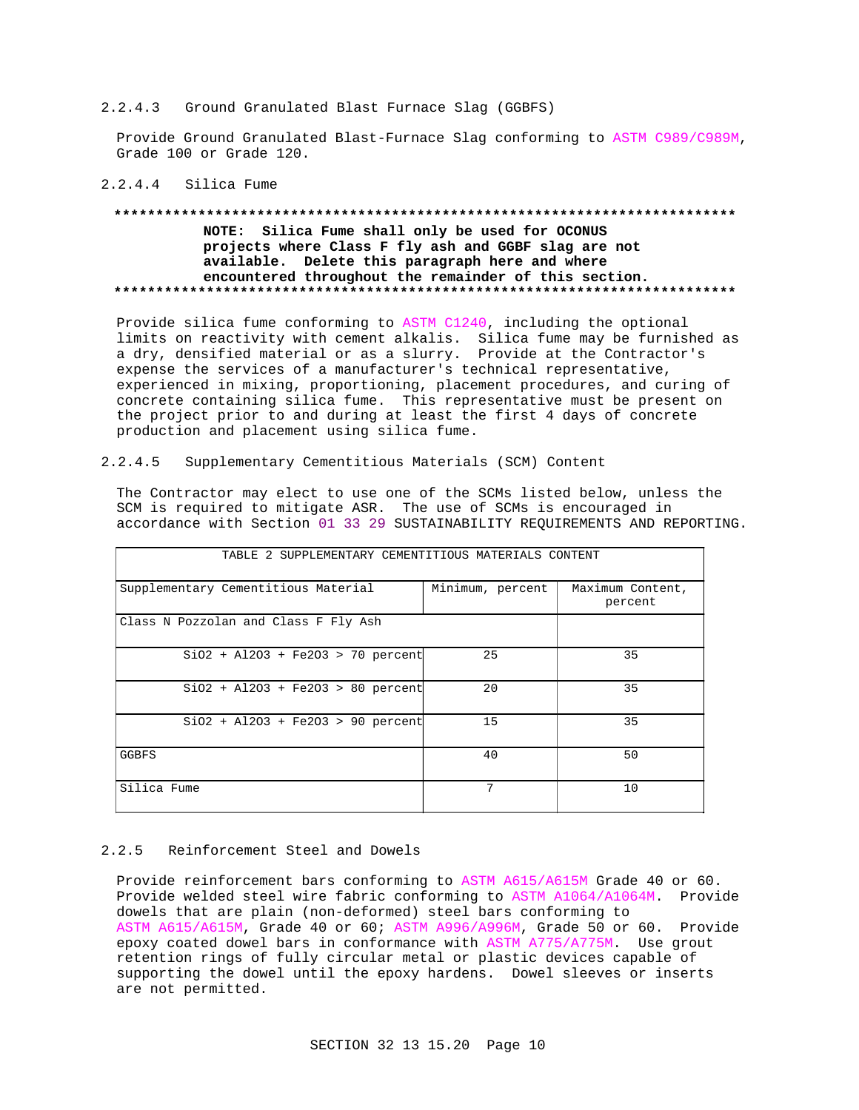#### 2.2.4.3 Ground Granulated Blast Furnace Slag (GGBFS)

Provide Ground Granulated Blast-Furnace Slag conforming to ASTM C989/C989M, Grade 100 or Grade 120.

#### 2.2.4.4 Silica Fume

# NOTE: Silica Fume shall only be used for OCONUS projects where Class F fly ash and GGBF slag are not available. Delete this paragraph here and where encountered throughout the remainder of this section.

Provide silica fume conforming to ASTM C1240, including the optional limits on reactivity with cement alkalis. Silica fume may be furnished as a dry, densified material or as a slurry. Provide at the Contractor's expense the services of a manufacturer's technical representative, experienced in mixing, proportioning, placement procedures, and curing of concrete containing silica fume. This representative must be present on the project prior to and during at least the first 4 days of concrete production and placement using silica fume.

#### $2.2.4.5$ Supplementary Cementitious Materials (SCM) Content

The Contractor may elect to use one of the SCMs listed below, unless the SCM is required to mitigate ASR. The use of SCMs is encouraged in accordance with Section 01 33 29 SUSTAINABILITY REQUIREMENTS AND REPORTING.

| TABLE 2 SUPPLEMENTARY CEMENTITIOUS MATERIALS CONTENT |                  |                             |  |  |  |
|------------------------------------------------------|------------------|-----------------------------|--|--|--|
| Supplementary Cementitious Material                  | Minimum, percent | Maximum Content,<br>percent |  |  |  |
| Class N Pozzolan and Class F Fly Ash                 |                  |                             |  |  |  |
| $SiO2 + Al2O3 + Fe2O3 > 70$ percent                  | 25               | 35                          |  |  |  |
| $SiO2 + Al2O3 + Fe2O3 > 80$ percent                  | 20               | 35                          |  |  |  |
| $SiO2 + Al2O3 + Fe2O3 > 90$ percent                  | 15               | 35                          |  |  |  |
| <b>GGBFS</b>                                         | 40               | 50                          |  |  |  |
| Silica Fume                                          | 7                | 10                          |  |  |  |

#### $2.2.5$ Reinforcement Steel and Dowels

Provide reinforcement bars conforming to ASTM A615/A615M Grade 40 or 60. Provide welded steel wire fabric conforming to ASTM A1064/A1064M. Provide dowels that are plain (non-deformed) steel bars conforming to ASTM A615/A615M, Grade 40 or 60; ASTM A996/A996M, Grade 50 or 60. Provide epoxy coated dowel bars in conformance with ASTM A775/A775M. Use grout retention rings of fully circular metal or plastic devices capable of supporting the dowel until the epoxy hardens. Dowel sleeves or inserts are not permitted.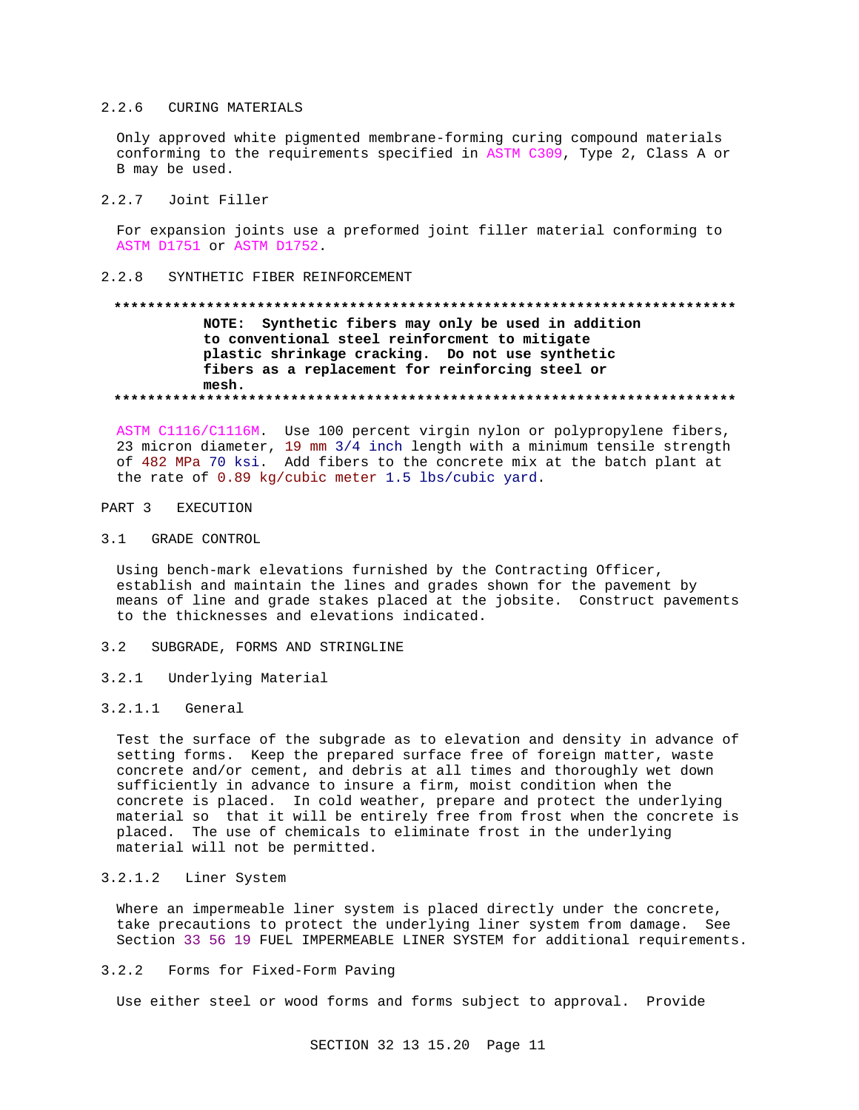#### $2, 2, 6$ **CURING MATERIALS**

Only approved white pigmented membrane-forming curing compound materials conforming to the requirements specified in ASTM C309, Type 2, Class A or B may be used.

#### $2.2.7$ Joint Filler

For expansion joints use a preformed joint filler material conforming to ASTM D1751 or ASTM D1752.

#### $2.2.8$ SYNTHETIC FIBER REINFORCEMENT

# NOTE: Synthetic fibers may only be used in addition to conventional steel reinforcment to mitigate plastic shrinkage cracking. Do not use synthetic fibers as a replacement for reinforcing steel or mesh.

ASTM C1116/C1116M. Use 100 percent virgin nylon or polypropylene fibers, 23 micron diameter, 19 mm 3/4 inch length with a minimum tensile strength of 482 MPa 70 ksi. Add fibers to the concrete mix at the batch plant at the rate of 0.89 kg/cubic meter 1.5 lbs/cubic yard.

#### PART 3 **EXECUTION**

**GRADE CONTROL**  $3.1$ 

Using bench-mark elevations furnished by the Contracting Officer, establish and maintain the lines and grades shown for the pavement by means of line and grade stakes placed at the jobsite. Construct pavements to the thicknesses and elevations indicated.

- SUBGRADE, FORMS AND STRINGLINE  $3.2$
- $3.2.1$ Underlying Material

#### $3.2.1.1$ General

Test the surface of the subgrade as to elevation and density in advance of setting forms. Keep the prepared surface free of foreign matter, waste concrete and/or cement, and debris at all times and thoroughly wet down sufficiently in advance to insure a firm, moist condition when the concrete is placed. In cold weather, prepare and protect the underlying material so that it will be entirely free from frost when the concrete is placed. The use of chemicals to eliminate frost in the underlying material will not be permitted.

#### $3.2.1.2$ Liner System

Where an impermeable liner system is placed directly under the concrete, take precautions to protect the underlying liner system from damage. See Section 33 56 19 FUEL IMPERMEABLE LINER SYSTEM for additional requirements.

 $3.2.2$ Forms for Fixed-Form Paving

Use either steel or wood forms and forms subject to approval. Provide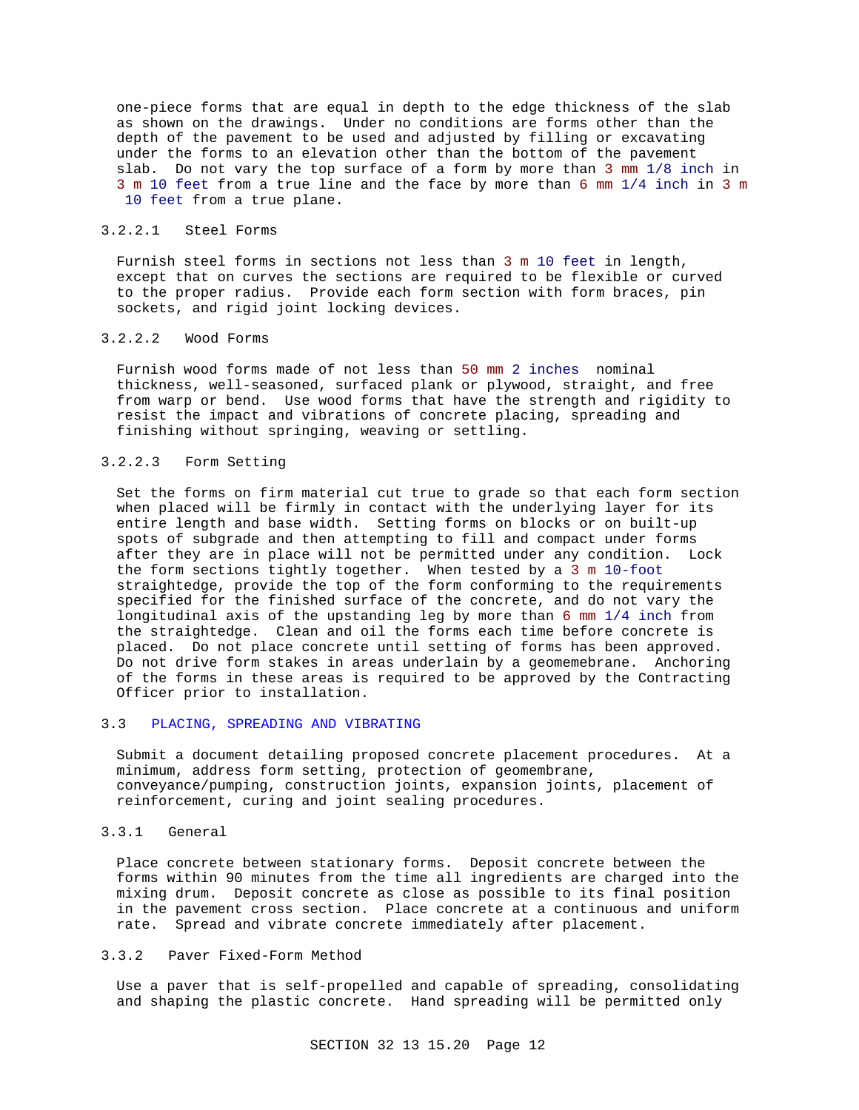one-piece forms that are equal in depth to the edge thickness of the slab as shown on the drawings. Under no conditions are forms other than the depth of the pavement to be used and adjusted by filling or excavating under the forms to an elevation other than the bottom of the pavement slab. Do not vary the top surface of a form by more than 3 mm 1/8 inch in 3 m 10 feet from a true line and the face by more than 6 mm 1/4 inch in 3 m 10 feet from a true plane.

# 3.2.2.1 Steel Forms

Furnish steel forms in sections not less than 3 m 10 feet in length, except that on curves the sections are required to be flexible or curved to the proper radius. Provide each form section with form braces, pin sockets, and rigid joint locking devices.

# 3.2.2.2 Wood Forms

Furnish wood forms made of not less than 50 mm 2 inches nominal thickness, well-seasoned, surfaced plank or plywood, straight, and free from warp or bend. Use wood forms that have the strength and rigidity to resist the impact and vibrations of concrete placing, spreading and finishing without springing, weaving or settling.

# 3.2.2.3 Form Setting

Set the forms on firm material cut true to grade so that each form section when placed will be firmly in contact with the underlying layer for its entire length and base width. Setting forms on blocks or on built-up spots of subgrade and then attempting to fill and compact under forms after they are in place will not be permitted under any condition. Lock the form sections tightly together. When tested by a 3 m 10-foot straightedge, provide the top of the form conforming to the requirements specified for the finished surface of the concrete, and do not vary the longitudinal axis of the upstanding leg by more than 6 mm 1/4 inch from the straightedge. Clean and oil the forms each time before concrete is placed. Do not place concrete until setting of forms has been approved. Do not drive form stakes in areas underlain by a geomemebrane. Anchoring of the forms in these areas is required to be approved by the Contracting Officer prior to installation.

#### 3.3 PLACING, SPREADING AND VIBRATING

Submit a document detailing proposed concrete placement procedures. At a minimum, address form setting, protection of geomembrane, conveyance/pumping, construction joints, expansion joints, placement of reinforcement, curing and joint sealing procedures.

# 3.3.1 General

Place concrete between stationary forms. Deposit concrete between the forms within 90 minutes from the time all ingredients are charged into the mixing drum. Deposit concrete as close as possible to its final position in the pavement cross section. Place concrete at a continuous and uniform rate. Spread and vibrate concrete immediately after placement.

#### 3.3.2 Paver Fixed-Form Method

Use a paver that is self-propelled and capable of spreading, consolidating and shaping the plastic concrete. Hand spreading will be permitted only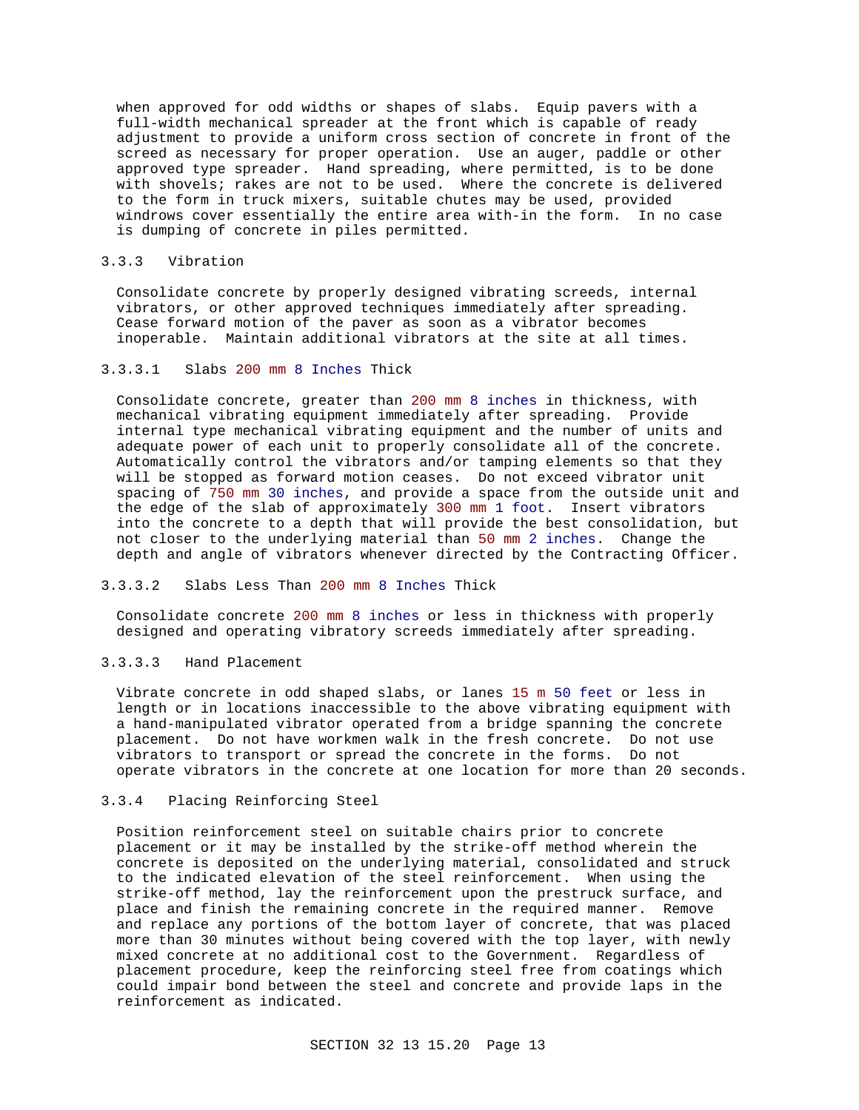when approved for odd widths or shapes of slabs. Equip pavers with a full-width mechanical spreader at the front which is capable of ready adjustment to provide a uniform cross section of concrete in front of the screed as necessary for proper operation. Use an auger, paddle or other approved type spreader. Hand spreading, where permitted, is to be done with shovels; rakes are not to be used. Where the concrete is delivered to the form in truck mixers, suitable chutes may be used, provided windrows cover essentially the entire area with-in the form. In no case is dumping of concrete in piles permitted.

#### 3.3.3 Vibration

Consolidate concrete by properly designed vibrating screeds, internal vibrators, or other approved techniques immediately after spreading. Cease forward motion of the paver as soon as a vibrator becomes inoperable. Maintain additional vibrators at the site at all times.

#### 3.3.3.1 Slabs 200 mm 8 Inches Thick

Consolidate concrete, greater than 200 mm 8 inches in thickness, with mechanical vibrating equipment immediately after spreading. Provide internal type mechanical vibrating equipment and the number of units and adequate power of each unit to properly consolidate all of the concrete. Automatically control the vibrators and/or tamping elements so that they will be stopped as forward motion ceases. Do not exceed vibrator unit spacing of 750 mm 30 inches, and provide a space from the outside unit and the edge of the slab of approximately 300 mm 1 foot. Insert vibrators into the concrete to a depth that will provide the best consolidation, but not closer to the underlying material than 50 mm 2 inches. Change the depth and angle of vibrators whenever directed by the Contracting Officer.

### 3.3.3.2 Slabs Less Than 200 mm 8 Inches Thick

Consolidate concrete 200 mm 8 inches or less in thickness with properly designed and operating vibratory screeds immediately after spreading.

#### 3.3.3.3 Hand Placement

Vibrate concrete in odd shaped slabs, or lanes 15 m 50 feet or less in length or in locations inaccessible to the above vibrating equipment with a hand-manipulated vibrator operated from a bridge spanning the concrete placement. Do not have workmen walk in the fresh concrete. Do not use vibrators to transport or spread the concrete in the forms. Do not operate vibrators in the concrete at one location for more than 20 seconds.

# 3.3.4 Placing Reinforcing Steel

Position reinforcement steel on suitable chairs prior to concrete placement or it may be installed by the strike-off method wherein the concrete is deposited on the underlying material, consolidated and struck to the indicated elevation of the steel reinforcement. When using the strike-off method, lay the reinforcement upon the prestruck surface, and place and finish the remaining concrete in the required manner. Remove and replace any portions of the bottom layer of concrete, that was placed more than 30 minutes without being covered with the top layer, with newly mixed concrete at no additional cost to the Government. Regardless of placement procedure, keep the reinforcing steel free from coatings which could impair bond between the steel and concrete and provide laps in the reinforcement as indicated.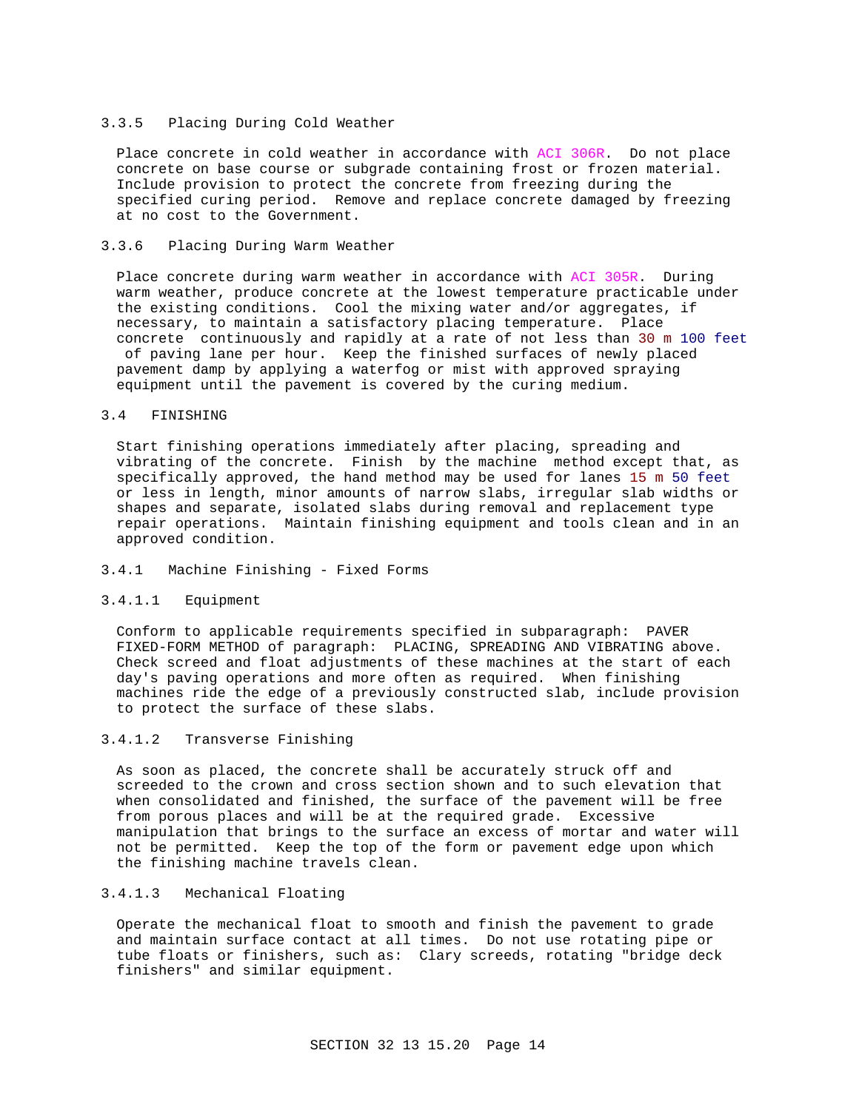#### 3.3.5 Placing During Cold Weather

Place concrete in cold weather in accordance with ACI 306R. Do not place concrete on base course or subgrade containing frost or frozen material. Include provision to protect the concrete from freezing during the specified curing period. Remove and replace concrete damaged by freezing at no cost to the Government.

### 3.3.6 Placing During Warm Weather

Place concrete during warm weather in accordance with ACI 305R. During warm weather, produce concrete at the lowest temperature practicable under the existing conditions. Cool the mixing water and/or aggregates, if necessary, to maintain a satisfactory placing temperature. Place concrete continuously and rapidly at a rate of not less than 30 m 100 feet of paving lane per hour. Keep the finished surfaces of newly placed

pavement damp by applying a waterfog or mist with approved spraying equipment until the pavement is covered by the curing medium.

# 3.4 FINISHING

Start finishing operations immediately after placing, spreading and vibrating of the concrete. Finish by the machine method except that, as specifically approved, the hand method may be used for lanes 15 m 50 feet or less in length, minor amounts of narrow slabs, irregular slab widths or shapes and separate, isolated slabs during removal and replacement type repair operations. Maintain finishing equipment and tools clean and in an approved condition.

# 3.4.1 Machine Finishing - Fixed Forms

#### 3.4.1.1 Equipment

Conform to applicable requirements specified in subparagraph: PAVER FIXED-FORM METHOD of paragraph: PLACING, SPREADING AND VIBRATING above. Check screed and float adjustments of these machines at the start of each day's paving operations and more often as required. When finishing machines ride the edge of a previously constructed slab, include provision to protect the surface of these slabs.

# 3.4.1.2 Transverse Finishing

As soon as placed, the concrete shall be accurately struck off and screeded to the crown and cross section shown and to such elevation that when consolidated and finished, the surface of the pavement will be free from porous places and will be at the required grade. Excessive manipulation that brings to the surface an excess of mortar and water will not be permitted. Keep the top of the form or pavement edge upon which the finishing machine travels clean.

# 3.4.1.3 Mechanical Floating

Operate the mechanical float to smooth and finish the pavement to grade and maintain surface contact at all times. Do not use rotating pipe or tube floats or finishers, such as: Clary screeds, rotating "bridge deck finishers" and similar equipment.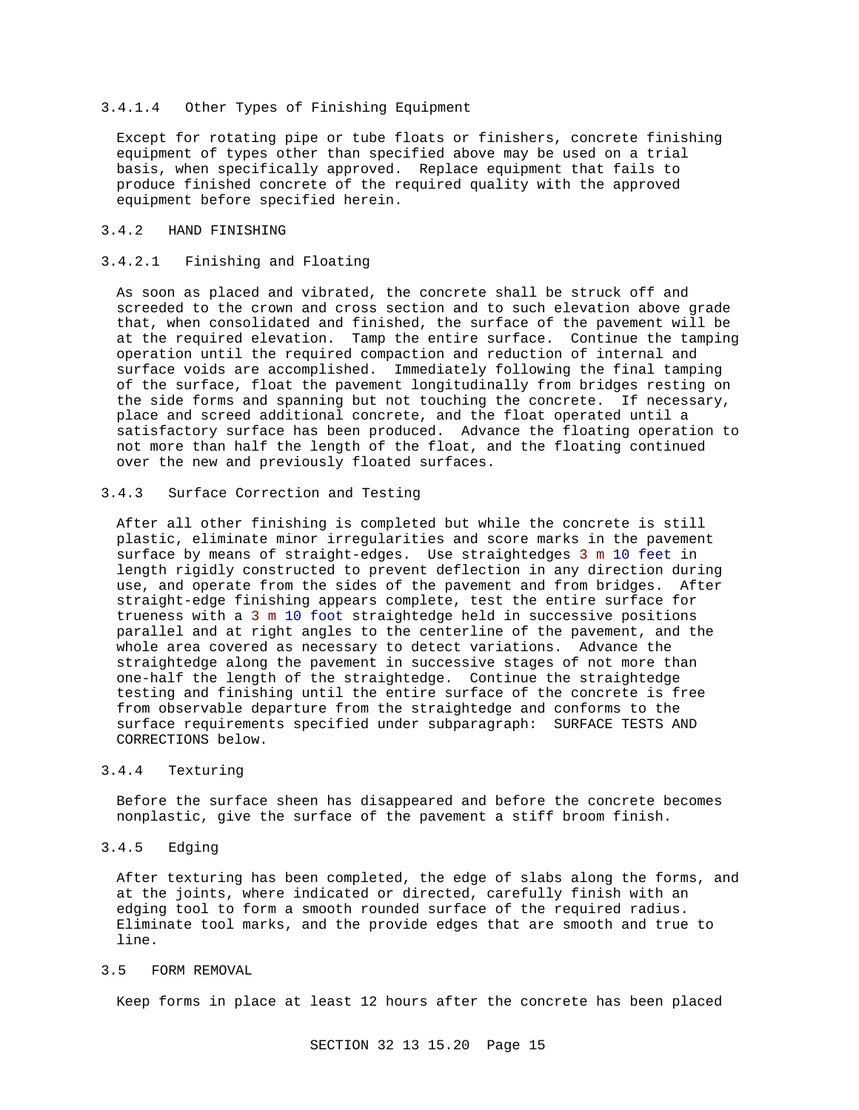### 3.4.1.4 Other Types of Finishing Equipment

Except for rotating pipe or tube floats or finishers, concrete finishing equipment of types other than specified above may be used on a trial basis, when specifically approved. Replace equipment that fails to produce finished concrete of the required quality with the approved equipment before specified herein.

# 3.4.2 HAND FINISHING

## 3.4.2.1 Finishing and Floating

As soon as placed and vibrated, the concrete shall be struck off and screeded to the crown and cross section and to such elevation above grade that, when consolidated and finished, the surface of the pavement will be at the required elevation. Tamp the entire surface. Continue the tamping operation until the required compaction and reduction of internal and surface voids are accomplished. Immediately following the final tamping of the surface, float the pavement longitudinally from bridges resting on the side forms and spanning but not touching the concrete. If necessary, place and screed additional concrete, and the float operated until a satisfactory surface has been produced. Advance the floating operation to not more than half the length of the float, and the floating continued over the new and previously floated surfaces.

#### 3.4.3 Surface Correction and Testing

After all other finishing is completed but while the concrete is still plastic, eliminate minor irregularities and score marks in the pavement surface by means of straight-edges. Use straightedges 3 m 10 feet in length rigidly constructed to prevent deflection in any direction during use, and operate from the sides of the pavement and from bridges. After straight-edge finishing appears complete, test the entire surface for trueness with a 3 m 10 foot straightedge held in successive positions parallel and at right angles to the centerline of the pavement, and the whole area covered as necessary to detect variations. Advance the straightedge along the pavement in successive stages of not more than one-half the length of the straightedge. Continue the straightedge testing and finishing until the entire surface of the concrete is free from observable departure from the straightedge and conforms to the surface requirements specified under subparagraph: SURFACE TESTS AND CORRECTIONS below.

# 3.4.4 Texturing

Before the surface sheen has disappeared and before the concrete becomes nonplastic, give the surface of the pavement a stiff broom finish.

# 3.4.5 Edging

After texturing has been completed, the edge of slabs along the forms, and at the joints, where indicated or directed, carefully finish with an edging tool to form a smooth rounded surface of the required radius. Eliminate tool marks, and the provide edges that are smooth and true to line.

# 3.5 FORM REMOVAL

Keep forms in place at least 12 hours after the concrete has been placed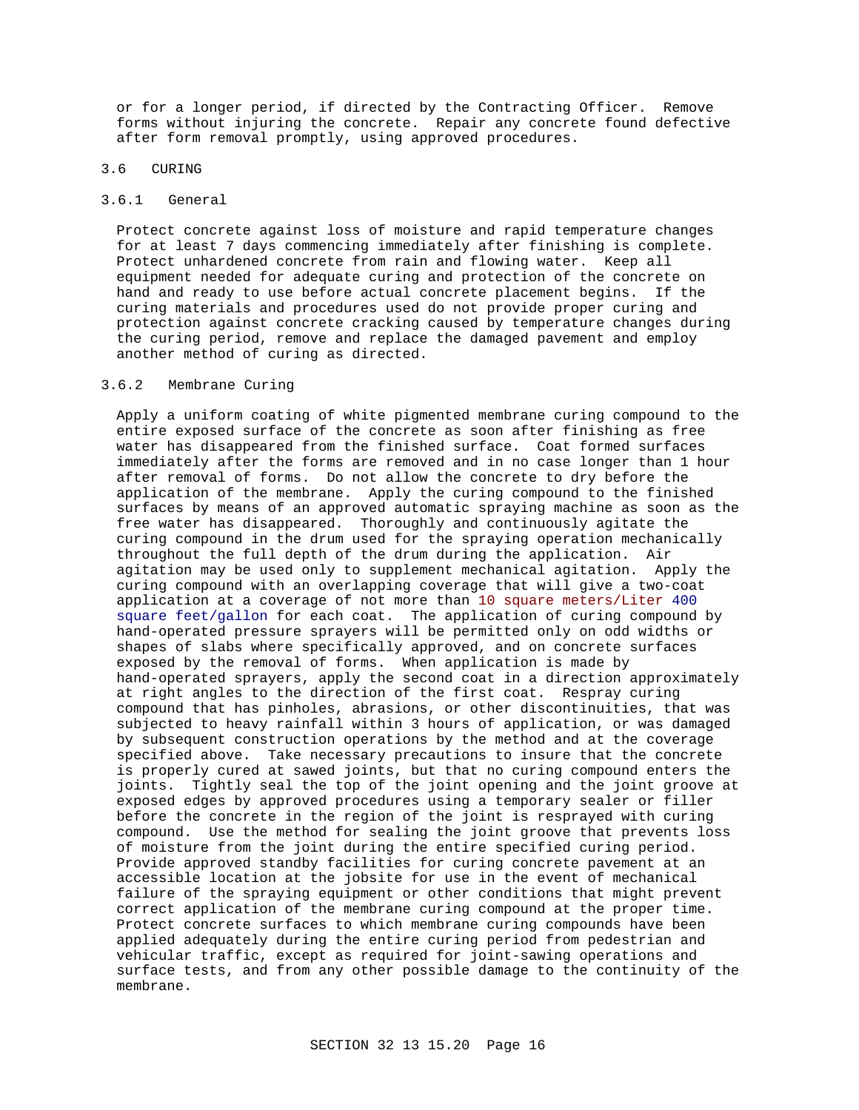or for a longer period, if directed by the Contracting Officer. Remove forms without injuring the concrete. Repair any concrete found defective after form removal promptly, using approved procedures.

## 3.6 CURING

## 3.6.1 General

Protect concrete against loss of moisture and rapid temperature changes for at least 7 days commencing immediately after finishing is complete. Protect unhardened concrete from rain and flowing water. Keep all equipment needed for adequate curing and protection of the concrete on hand and ready to use before actual concrete placement begins. If the curing materials and procedures used do not provide proper curing and protection against concrete cracking caused by temperature changes during the curing period, remove and replace the damaged pavement and employ another method of curing as directed.

### 3.6.2 Membrane Curing

Apply a uniform coating of white pigmented membrane curing compound to the entire exposed surface of the concrete as soon after finishing as free water has disappeared from the finished surface. Coat formed surfaces immediately after the forms are removed and in no case longer than 1 hour after removal of forms. Do not allow the concrete to dry before the application of the membrane. Apply the curing compound to the finished surfaces by means of an approved automatic spraying machine as soon as the free water has disappeared. Thoroughly and continuously agitate the curing compound in the drum used for the spraying operation mechanically throughout the full depth of the drum during the application. Air agitation may be used only to supplement mechanical agitation. Apply the curing compound with an overlapping coverage that will give a two-coat application at a coverage of not more than 10 square meters/Liter 400 square feet/gallon for each coat. The application of curing compound by hand-operated pressure sprayers will be permitted only on odd widths or shapes of slabs where specifically approved, and on concrete surfaces exposed by the removal of forms. When application is made by hand-operated sprayers, apply the second coat in a direction approximately at right angles to the direction of the first coat. Respray curing compound that has pinholes, abrasions, or other discontinuities, that was subjected to heavy rainfall within 3 hours of application, or was damaged by subsequent construction operations by the method and at the coverage specified above. Take necessary precautions to insure that the concrete is properly cured at sawed joints, but that no curing compound enters the joints. Tightly seal the top of the joint opening and the joint groove at exposed edges by approved procedures using a temporary sealer or filler before the concrete in the region of the joint is resprayed with curing compound. Use the method for sealing the joint groove that prevents loss of moisture from the joint during the entire specified curing period. Provide approved standby facilities for curing concrete pavement at an accessible location at the jobsite for use in the event of mechanical failure of the spraying equipment or other conditions that might prevent correct application of the membrane curing compound at the proper time. Protect concrete surfaces to which membrane curing compounds have been applied adequately during the entire curing period from pedestrian and vehicular traffic, except as required for joint-sawing operations and surface tests, and from any other possible damage to the continuity of the membrane.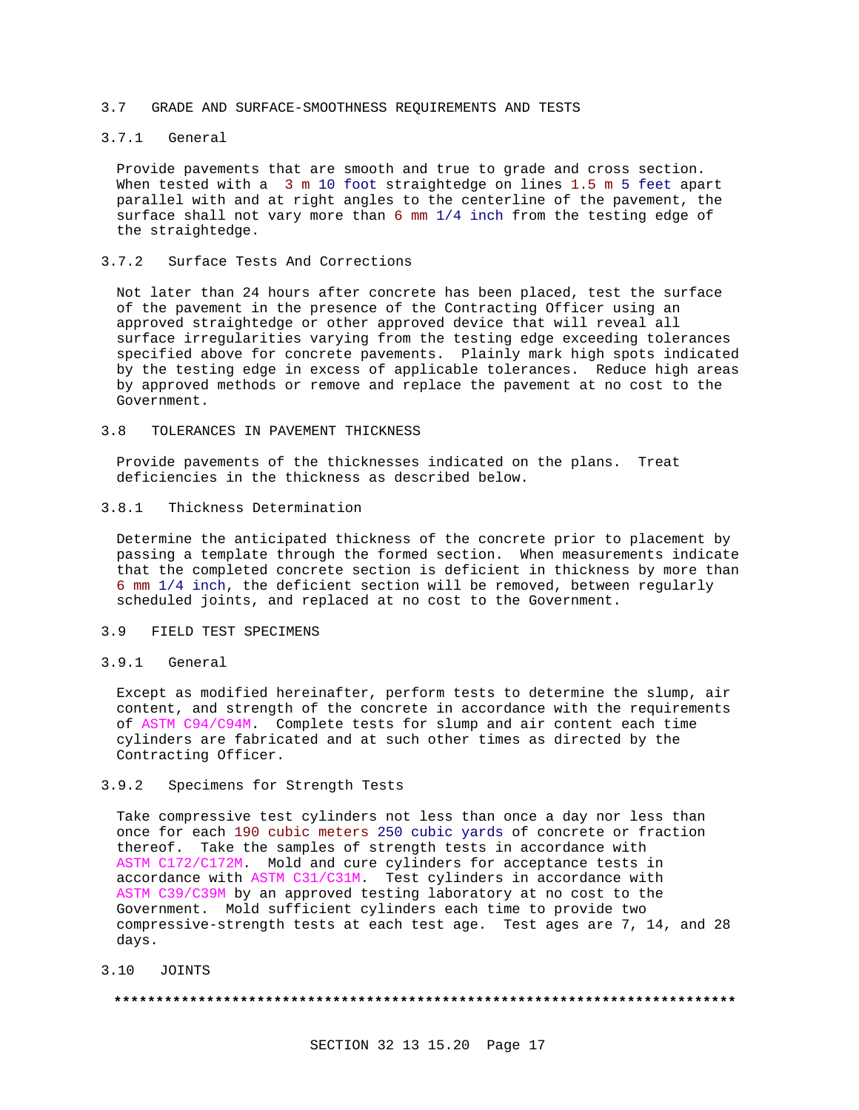#### 3.7 GRADE AND SURFACE-SMOOTHNESS REQUIREMENTS AND TESTS

## 3.7.1 General

Provide pavements that are smooth and true to grade and cross section. When tested with a 3 m 10 foot straightedge on lines 1.5 m 5 feet apart parallel with and at right angles to the centerline of the pavement, the surface shall not vary more than 6 mm 1/4 inch from the testing edge of the straightedge.

### 3.7.2 Surface Tests And Corrections

Not later than 24 hours after concrete has been placed, test the surface of the pavement in the presence of the Contracting Officer using an approved straightedge or other approved device that will reveal all surface irregularities varying from the testing edge exceeding tolerances specified above for concrete pavements. Plainly mark high spots indicated by the testing edge in excess of applicable tolerances. Reduce high areas by approved methods or remove and replace the pavement at no cost to the Government.

# 3.8 TOLERANCES IN PAVEMENT THICKNESS

Provide pavements of the thicknesses indicated on the plans. Treat deficiencies in the thickness as described below.

# 3.8.1 Thickness Determination

Determine the anticipated thickness of the concrete prior to placement by passing a template through the formed section. When measurements indicate that the completed concrete section is deficient in thickness by more than 6 mm 1/4 inch, the deficient section will be removed, between regularly scheduled joints, and replaced at no cost to the Government.

# 3.9 FIELD TEST SPECIMENS

#### 3.9.1 General

Except as modified hereinafter, perform tests to determine the slump, air content, and strength of the concrete in accordance with the requirements of ASTM C94/C94M. Complete tests for slump and air content each time cylinders are fabricated and at such other times as directed by the Contracting Officer.

# 3.9.2 Specimens for Strength Tests

Take compressive test cylinders not less than once a day nor less than once for each 190 cubic meters 250 cubic yards of concrete or fraction thereof. Take the samples of strength tests in accordance with ASTM C172/C172M. Mold and cure cylinders for acceptance tests in accordance with ASTM C31/C31M. Test cylinders in accordance with ASTM C39/C39M by an approved testing laboratory at no cost to the Government. Mold sufficient cylinders each time to provide two compressive-strength tests at each test age. Test ages are 7, 14, and 28 days.

3.10 JOINTS

#### **\*\*\*\*\*\*\*\*\*\*\*\*\*\*\*\*\*\*\*\*\*\*\*\*\*\*\*\*\*\*\*\*\*\*\*\*\*\*\*\*\*\*\*\*\*\*\*\*\*\*\*\*\*\*\*\*\*\*\*\*\*\*\*\*\*\*\*\*\*\*\*\*\*\***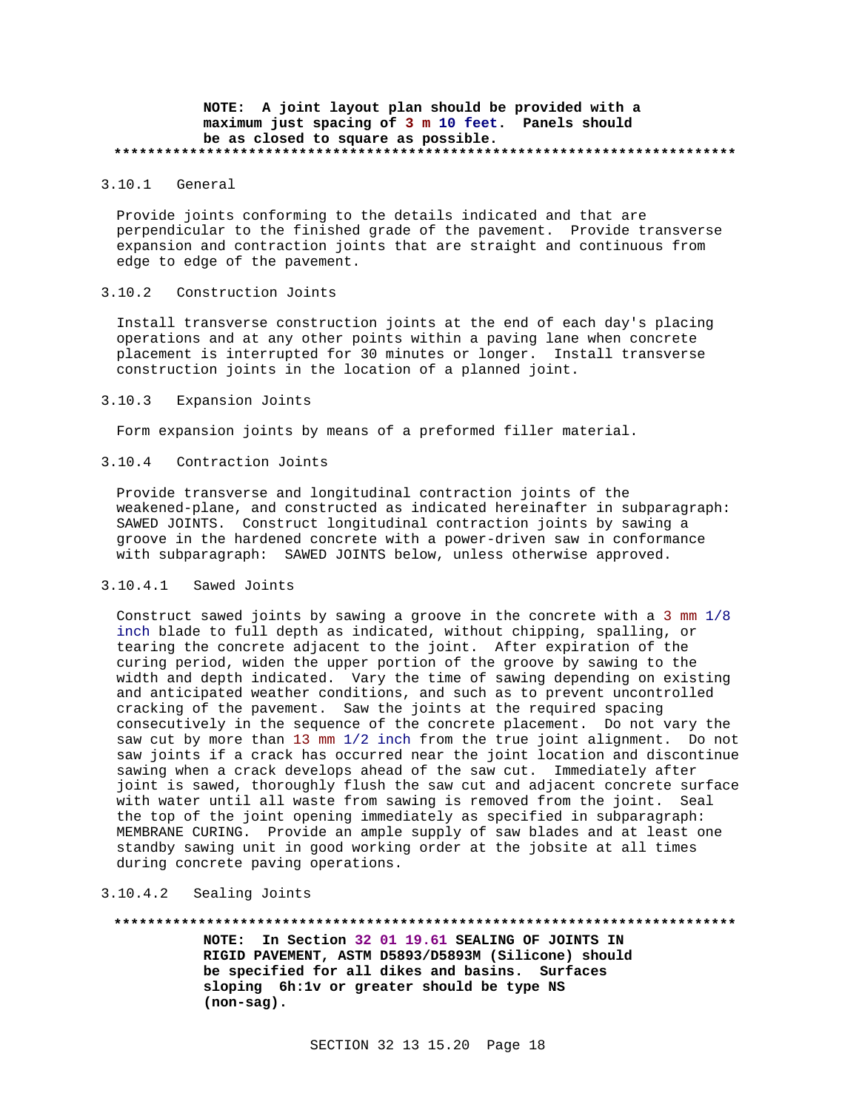### **NOTE: A joint layout plan should be provided with a maximum just spacing of 3 m 10 feet. Panels should be as closed to square as possible. \*\*\*\*\*\*\*\*\*\*\*\*\*\*\*\*\*\*\*\*\*\*\*\*\*\*\*\*\*\*\*\*\*\*\*\*\*\*\*\*\*\*\*\*\*\*\*\*\*\*\*\*\*\*\*\*\*\*\*\*\*\*\*\*\*\*\*\*\*\*\*\*\*\***

# 3.10.1 General

Provide joints conforming to the details indicated and that are perpendicular to the finished grade of the pavement. Provide transverse expansion and contraction joints that are straight and continuous from edge to edge of the pavement.

### 3.10.2 Construction Joints

Install transverse construction joints at the end of each day's placing operations and at any other points within a paving lane when concrete placement is interrupted for 30 minutes or longer. Install transverse construction joints in the location of a planned joint.

### 3.10.3 Expansion Joints

Form expansion joints by means of a preformed filler material.

# 3.10.4 Contraction Joints

Provide transverse and longitudinal contraction joints of the weakened-plane, and constructed as indicated hereinafter in subparagraph: SAWED JOINTS. Construct longitudinal contraction joints by sawing a groove in the hardened concrete with a power-driven saw in conformance with subparagraph: SAWED JOINTS below, unless otherwise approved.

#### 3.10.4.1 Sawed Joints

Construct sawed joints by sawing a groove in the concrete with a 3 mm 1/8 inch blade to full depth as indicated, without chipping, spalling, or tearing the concrete adjacent to the joint. After expiration of the curing period, widen the upper portion of the groove by sawing to the width and depth indicated. Vary the time of sawing depending on existing and anticipated weather conditions, and such as to prevent uncontrolled cracking of the pavement. Saw the joints at the required spacing consecutively in the sequence of the concrete placement. Do not vary the saw cut by more than 13 mm 1/2 inch from the true joint alignment. Do not saw joints if a crack has occurred near the joint location and discontinue sawing when a crack develops ahead of the saw cut. Immediately after joint is sawed, thoroughly flush the saw cut and adjacent concrete surface with water until all waste from sawing is removed from the joint. Seal the top of the joint opening immediately as specified in subparagraph: MEMBRANE CURING. Provide an ample supply of saw blades and at least one standby sawing unit in good working order at the jobsite at all times during concrete paving operations.

#### 3.10.4.2 Sealing Joints

**\*\*\*\*\*\*\*\*\*\*\*\*\*\*\*\*\*\*\*\*\*\*\*\*\*\*\*\*\*\*\*\*\*\*\*\*\*\*\*\*\*\*\*\*\*\*\*\*\*\*\*\*\*\*\*\*\*\*\*\*\*\*\*\*\*\*\*\*\*\*\*\*\*\* NOTE: In Section 32 01 19.61 SEALING OF JOINTS IN RIGID PAVEMENT, ASTM D5893/D5893M (Silicone) should be specified for all dikes and basins. Surfaces sloping 6h:1v or greater should be type NS (non-sag).**